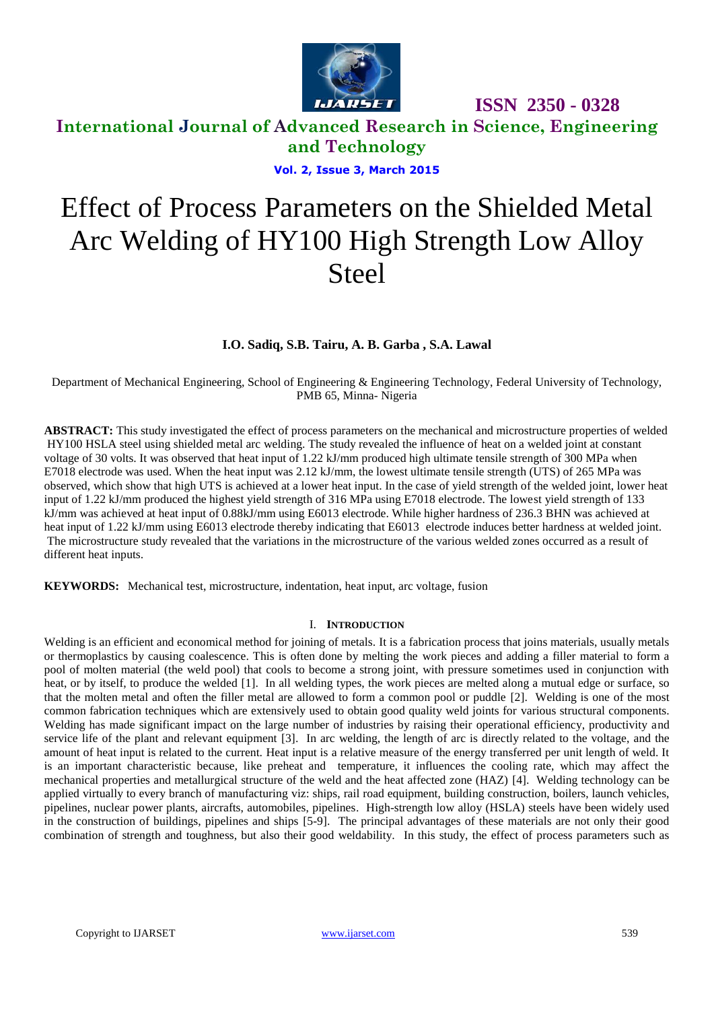

## **International Journal of Advanced Research in Science, Engineering and Technology**

**Vol. 2, Issue 3, March 2015**

# Effect of Process Parameters on the Shielded Metal Arc Welding of HY100 High Strength Low Alloy **Steel**

#### **I.O. Sadiq, S.B. Tairu, A. B. Garba , S.A. Lawal**

Department of Mechanical Engineering, School of Engineering & Engineering Technology, Federal University of Technology, PMB 65, Minna- Nigeria

**ABSTRACT:** This study investigated the effect of process parameters on the mechanical and microstructure properties of welded HY100 HSLA steel using shielded metal arc welding. The study revealed the influence of heat on a welded joint at constant voltage of 30 volts. It was observed that heat input of 1.22 kJ/mm produced high ultimate tensile strength of 300 MPa when E7018 electrode was used. When the heat input was 2.12 kJ/mm, the lowest ultimate tensile strength (UTS) of 265 MPa was observed, which show that high UTS is achieved at a lower heat input. In the case of yield strength of the welded joint, lower heat input of 1.22 kJ/mm produced the highest yield strength of 316 MPa using E7018 electrode. The lowest yield strength of 133 kJ/mm was achieved at heat input of 0.88kJ/mm using E6013 electrode. While higher hardness of 236.3 BHN was achieved at heat input of 1.22 kJ/mm using E6013 electrode thereby indicating that E6013 electrode induces better hardness at welded joint. The microstructure study revealed that the variations in the microstructure of the various welded zones occurred as a result of different heat inputs.

**KEYWORDS:** Mechanical test, microstructure, indentation, heat input, arc voltage, fusion

#### I. **INTRODUCTION**

Welding is an efficient and economical method for joining of metals. It is a fabrication process that joins materials, usually metals or thermoplastics by causing coalescence. This is often done by melting the work pieces and adding a filler material to form a pool of molten material (the weld pool) that cools to become a strong joint, with pressure sometimes used in conjunction with heat, or by itself, to produce the welded [1]. In all welding types, the work pieces are melted along a mutual edge or surface, so that the molten metal and often the filler metal are allowed to form a common pool or puddle [2]. Welding is one of the most common fabrication techniques which are extensively used to obtain good quality weld joints for various structural components. Welding has made significant impact on the large number of industries by raising their operational efficiency, productivity and service life of the plant and relevant equipment [3]. In arc welding, the length of arc is directly related to the voltage, and the amount of heat input is related to the current. Heat input is a relative measure of the energy transferred per unit length of weld. It is an important characteristic because, like preheat and temperature, it influences the cooling rate, which may affect the mechanical properties and metallurgical structure of the weld and the heat affected zone (HAZ) [4]. Welding technology can be applied virtually to every branch of manufacturing viz: ships, rail road equipment, building construction, boilers, launch vehicles, pipelines, nuclear power plants, aircrafts, automobiles, pipelines. High-strength low alloy (HSLA) steels have been widely used in the construction of buildings, pipelines and ships [5-9]. The principal advantages of these materials are not only their good combination of strength and toughness, but also their good weldability. In this study, the effect of process parameters such as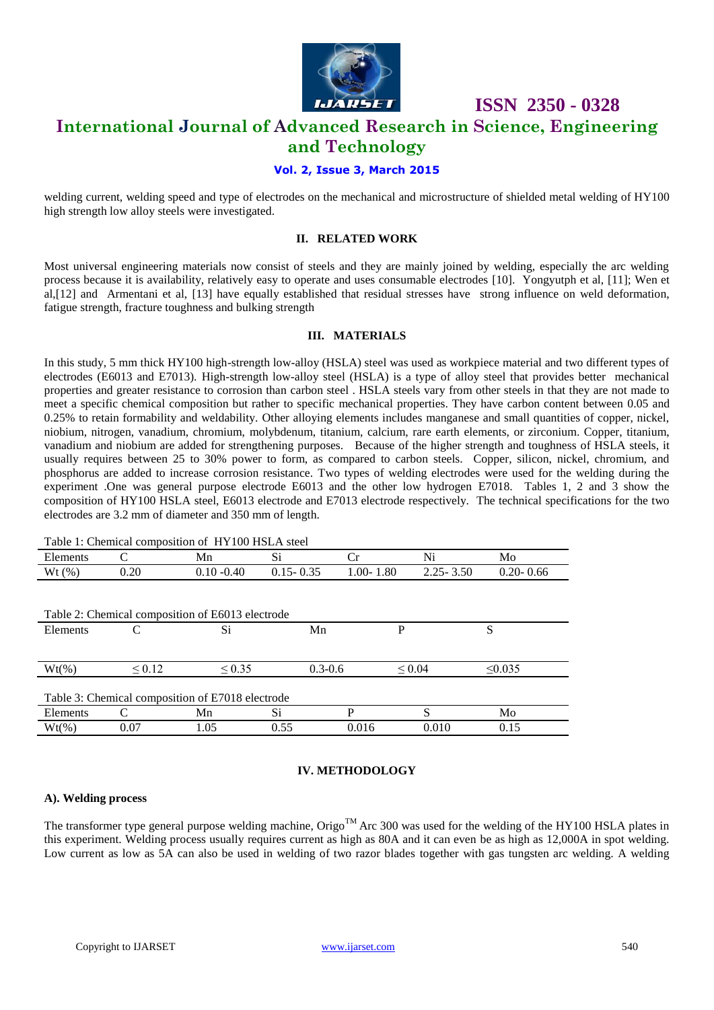

### **ISSN 2350 - 0328 International Journal of Advanced Research in Science, Engineering and Technology**

#### **Vol. 2, Issue 3, March 2015**

welding current, welding speed and type of electrodes on the mechanical and microstructure of shielded metal welding of HY100 high strength low alloy steels were investigated.

#### **II. RELATED WORK**

Most universal engineering materials now consist of steels and they are mainly joined by welding, especially the arc welding process because it is availability, relatively easy to operate and uses consumable electrodes [10]. Yongyutph et al, [11]; Wen et al,[12] and Armentani et al, [13] have equally established that residual stresses have strong influence on weld deformation, fatigue strength, fracture toughness and bulking strength

#### **III. MATERIALS**

In this study, 5 mm thick HY100 high-strength low-alloy (HSLA) steel was used as workpiece material and two different types of electrodes (E6013 and E7013). High-strength low-alloy steel (HSLA) is a type of alloy steel that provides better mechanical properties and greater resistance to corrosion than carbon steel . HSLA steels vary from other steels in that they are not made to meet a specific chemical composition but rather to specific mechanical properties. They have carbon content between 0.05 and 0.25% to retain formability and weldability. Other alloying elements includes manganese and small quantities of copper, nickel, niobium, nitrogen, vanadium, chromium, molybdenum, titanium, calcium, rare earth elements, or zirconium. Copper, titanium, vanadium and niobium are added for strengthening purposes. Because of the higher strength and toughness of HSLA steels, it usually requires between 25 to 30% power to form, as compared to carbon steels. Copper, silicon, nickel, chromium, and phosphorus are added to increase corrosion resistance. Two types of welding electrodes were used for the welding during the experiment .One was general purpose electrode E6013 and the other low hydrogen E7018. Tables 1, 2 and 3 show the composition of HY100 HSLA steel, E6013 electrode and E7013 electrode respectively. The technical specifications for the two electrodes are 3.2 mm of diameter and 350 mm of length.

|          |             | Table 1: Chemical composition of HY100 HSLA steel |               |               |               |               |
|----------|-------------|---------------------------------------------------|---------------|---------------|---------------|---------------|
| Elements | C           | Mn                                                | Si            | Сr            | Ni            | Mo            |
| Wt(%)    | 0.20        | $0.10 - 0.40$                                     | $0.15 - 0.35$ | $1.00 - 1.80$ | $2.25 - 3.50$ | $0.20 - 0.66$ |
|          |             |                                                   |               |               |               |               |
|          |             |                                                   |               |               |               |               |
|          |             | Table 2: Chemical composition of E6013 electrode  |               |               |               |               |
| Elements |             | Si                                                | Mn            | P             |               | S             |
|          |             |                                                   |               |               |               |               |
|          |             |                                                   |               |               |               |               |
| $Wt(\%)$ | $\leq 0.12$ | $\leq 0.35$                                       | $0.3 - 0.6$   |               | $\leq 0.04$   | $\leq 0.035$  |
|          |             |                                                   |               |               |               |               |
|          |             | Table 3: Chemical composition of E7018 electrode  |               |               |               |               |
| Elements |             | Mn                                                | Si            | P             | S             | Mo            |

 $Wt(\%)$  0.07 1.05 0.55 0.016 0.010 0.15

#### **IV. METHODOLOGY**

#### **A). Welding process**

The transformer type general purpose welding machine, Origo<sup>TM</sup> Arc 300 was used for the welding of the HY100 HSLA plates in this experiment. Welding process usually requires current as high as 80A and it can even be as high as 12,000A in spot welding. Low current as low as 5A can also be used in welding of two razor blades together with gas tungsten arc welding. A welding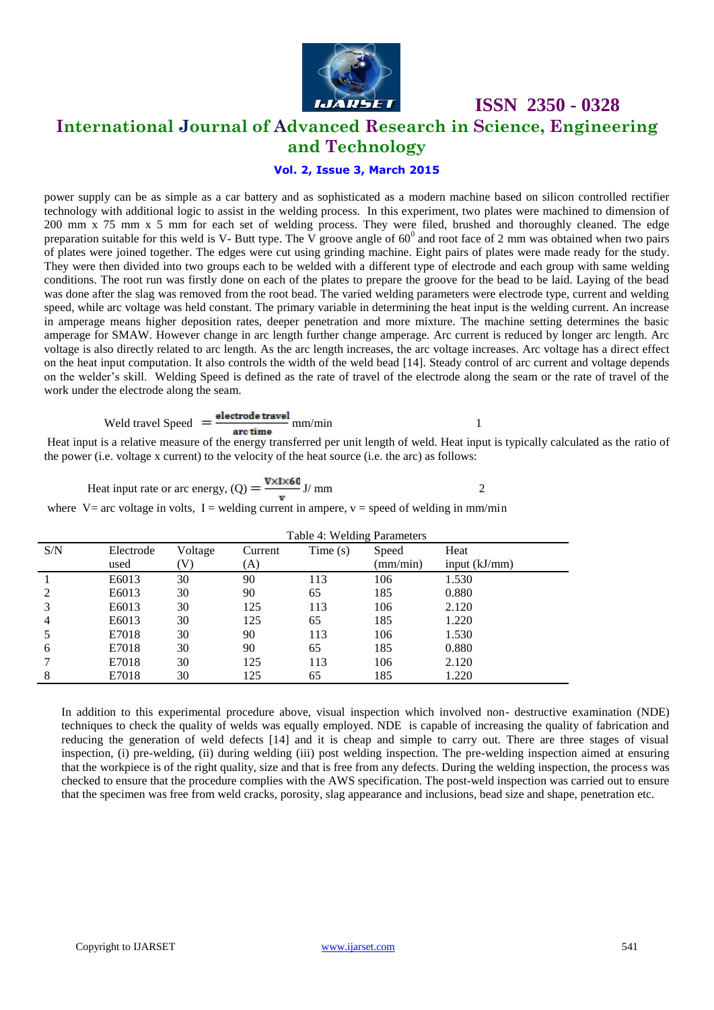

### **ISSN 2350 - 0328 International Journal of Advanced Research in Science, Engineering and Technology**

#### **Vol. 2, Issue 3, March 2015**

power supply can be as simple as a car battery and as sophisticated as a modern machine based on silicon controlled rectifier technology with additional logic to assist in the welding process. In this experiment, two plates were machined to dimension of 200 mm x 75 mm x 5 mm for each set of welding process. They were filed, brushed and thoroughly cleaned. The edge preparation suitable for this weld is V- Butt type. The V groove angle of  $60^0$  and root face of 2 mm was obtained when two pairs of plates were joined together. The edges were cut using grinding machine. Eight pairs of plates were made ready for the study. They were then divided into two groups each to be welded with a different type of electrode and each group with same welding conditions. The root run was firstly done on each of the plates to prepare the groove for the bead to be laid. Laying of the bead was done after the slag was removed from the root bead. The varied welding parameters were electrode type, current and welding speed, while arc voltage was held constant. The primary variable in determining the heat input is the welding current. An increase in amperage means higher deposition rates, deeper penetration and more mixture. The machine setting determines the basic amperage for SMAW. However change in arc length further change amperage. Arc current is reduced by longer arc length. Arc voltage is also directly related to arc length. As the arc length increases, the arc voltage increases. Arc voltage has a direct effect on the heat input computation. It also controls the width of the weld bead [14]. Steady control of arc current and voltage depends on the welder's skill. Welding Speed is defined as the rate of travel of the electrode along the seam or the rate of travel of the work under the electrode along the seam.

$$
Weld travel Speed = \frac{electrode travel}{arc time} \, \text{mm/min}
$$

Heat input is a relative measure of the energy transferred per unit length of weld. Heat input is typically calculated as the ratio of the power (i.e. voltage x current) to the velocity of the heat source (i.e. the arc) as follows:

Heat input rate or arc energy, (Q) = 
$$
\frac{\mathbf{V} \times \mathbf{I} \times \mathbf{60}}{\mathbf{v}}
$$
 J/mm

where V= arc voltage in volts, I = welding current in ampere,  $v =$  speed of welding in mm/min

|     |           | Table 4: Welding Parameters |         |         |          |                 |
|-----|-----------|-----------------------------|---------|---------|----------|-----------------|
| S/N | Electrode | Voltage                     | Current | Time(s) | Speed    | Heat            |
|     | used      |                             | (A)     |         | (mm/min) | input $(kJ/mm)$ |
|     | E6013     | 30                          | 90      | 113     | 106      | 1.530           |
|     | E6013     | 30                          | 90      | 65      | 185      | 0.880           |
|     | E6013     | 30                          | 125     | 113     | 106      | 2.120           |
| 4   | E6013     | 30                          | 125     | 65      | 185      | 1.220           |
|     | E7018     | 30                          | 90      | 113     | 106      | 1.530           |
| 6   | E7018     | 30                          | 90      | 65      | 185      | 0.880           |
|     | E7018     | 30                          | 125     | 113     | 106      | 2.120           |
| 8   | E7018     | 30                          | 125     | 65      | 185      | 1.220           |

In addition to this experimental procedure above, visual inspection which involved non- destructive examination (NDE) techniques to check the quality of welds was equally employed. NDE is capable of increasing the quality of fabrication and reducing the generation of weld defects [14] and it is cheap and simple to carry out. There are three stages of visual inspection, (i) pre-welding, (ii) during welding (iii) post welding inspection. The pre-welding inspection aimed at ensuring that the workpiece is of the right quality, size and that is free from any defects. During the welding inspection, the process was checked to ensure that the procedure complies with the AWS specification. The post-weld inspection was carried out to ensure that the specimen was free from weld cracks, porosity, slag appearance and inclusions, bead size and shape, penetration etc.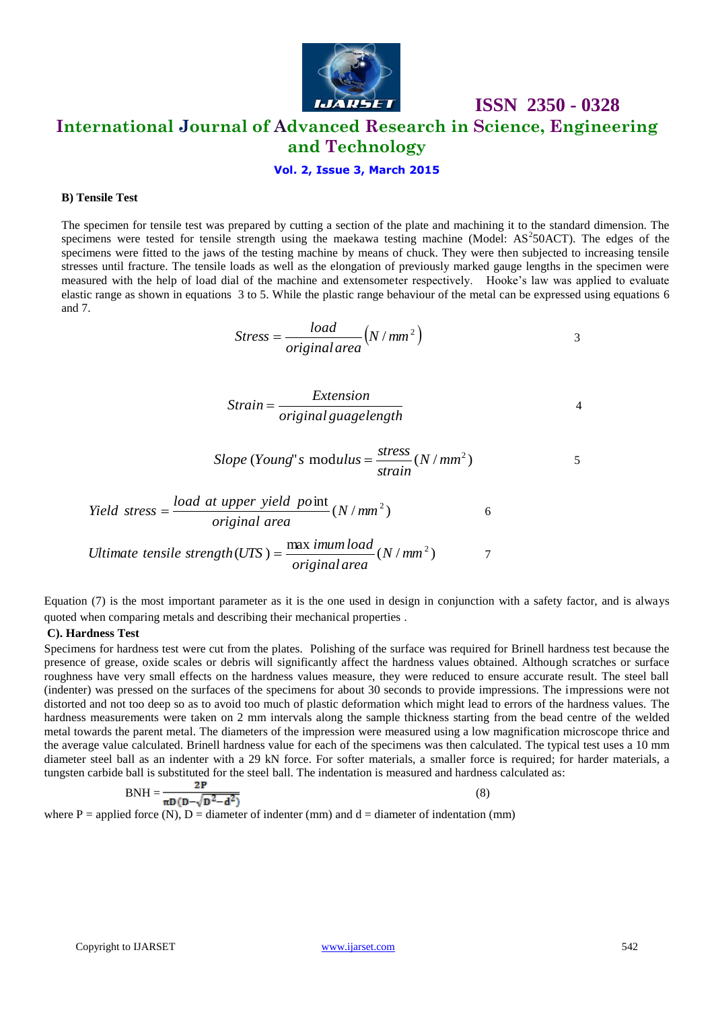

## **International Journal of Advanced Research in Science, Engineering and Technology**

#### **Vol. 2, Issue 3, March 2015**

#### **B) Tensile Test**

The specimen for tensile test was prepared by cutting a section of the plate and machining it to the standard dimension. The specimens were tested for tensile strength using the maekawa testing machine (Model:  $AS^250ACT$ ). The edges of the specimens were fitted to the jaws of the testing machine by means of chuck. They were then subjected to increasing tensile stresses until fracture. The tensile loads as well as the elongation of previously marked gauge lengths in the specimen were measured with the help of load dial of the machine and extensometer respectively. Hooke's law was applied to evaluate elastic range as shown in equations 3 to 5. While the plastic range behaviour of the metal can be expressed using equations 6 and 7.

$$
Stress = \frac{load}{original area} (N/mm^2)
$$

 **ISSN 2350 - 0328**

$$
Strain = \frac{Extension}{original\,guagelength}
$$

Slope (Young" s modulus = 
$$
\frac{stress}{strain}(N/mm^2)
$$
 5

$$
Yield stress = \frac{load \ at \ upper \ yield \ point}{original \ area}(N/mm^2)
$$

*Ultimate tensile strength*(*UTS*) = 
$$
\frac{\text{max } \text{inum load}}{\text{original area}} (N / \text{mm}^2)
$$

Equation (7) is the most important parameter as it is the one used in design in conjunction with a safety factor, and is always quoted when comparing metals and describing their mechanical properties .

#### **C). Hardness Test**

Specimens for hardness test were cut from the plates. Polishing of the surface was required for Brinell hardness test because the presence of grease, oxide scales or debris will significantly affect the hardness values obtained. Although scratches or surface roughness have very small effects on the hardness values measure, they were reduced to ensure accurate result. The steel ball (indenter) was pressed on the surfaces of the specimens for about 30 seconds to provide impressions. The impressions were not distorted and not too deep so as to avoid too much of plastic deformation which might lead to errors of the hardness values. The hardness measurements were taken on 2 mm intervals along the sample thickness starting from the bead centre of the welded metal towards the parent metal. The diameters of the impression were measured using a low magnification microscope thrice and the average value calculated. Brinell hardness value for each of the specimens was then calculated. The typical test uses a 10 mm diameter steel ball as an indenter with a 29 kN force. For softer materials, a smaller force is required; for harder materials, a tungsten carbide ball is substituted for the steel ball. The indentation is measured and hardness calculated as:

$$
BNH = \frac{2P}{\pi D (D - \sqrt{D^2 - d^2})}
$$
\n(8)

where P = applied force (N), D = diameter of indenter (mm) and  $d =$  diameter of indentation (mm)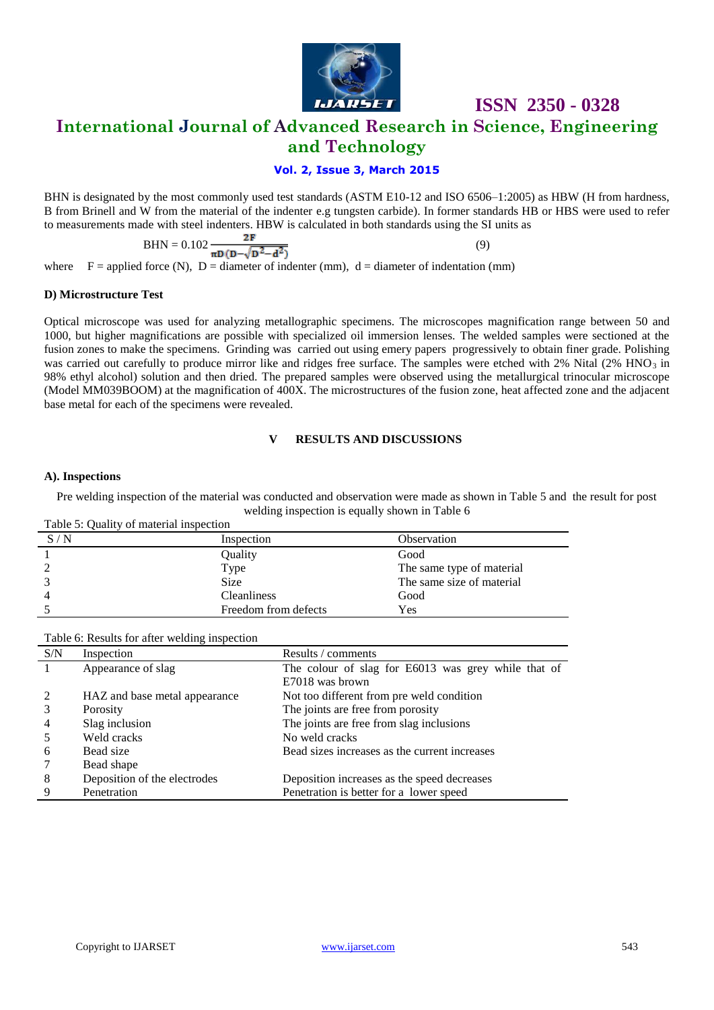

**International Journal of Advanced Research in Science, Engineering** 

### **and Technology**

#### **Vol. 2, Issue 3, March 2015**

BHN is designated by the most commonly used test standards (ASTM E10-12 and ISO 6506–1:2005) as HBW (H from hardness, B from Brinell and W from the material of the indenter e.g tungsten carbide). In former standards HB or HBS were used to refer to measurements made with steel indenters. HBW is calculated in both standards using the SI units as

$$
BHN = 0.102 \frac{2F}{\pi D (D - \sqrt{D^2 - d^2})}
$$
(9)

where  $F =$  applied force (N),  $D =$  diameter of indenter (mm),  $d =$  diameter of indentation (mm)

#### **D) Microstructure Test**

Optical microscope was used for analyzing metallographic specimens. The microscopes magnification range between 50 and 1000, but higher magnifications are possible with specialized oil immersion lenses. The welded samples were sectioned at the fusion zones to make the specimens. Grinding was carried out using emery papers progressively to obtain finer grade. Polishing was carried out carefully to produce mirror like and ridges free surface. The samples were etched with 2% Nital (2% HNO<sub>3</sub> in 98% ethyl alcohol) solution and then dried. The prepared samples were observed using the metallurgical trinocular microscope (Model MM039BOOM) at the magnification of 400X. The microstructures of the fusion zone, heat affected zone and the adjacent base metal for each of the specimens were revealed.

#### **V RESULTS AND DISCUSSIONS**

#### **A). Inspections**

Pre welding inspection of the material was conducted and observation were made as shown in Table 5 and the result for post welding inspection is equally shown in Table 6

| Table 5: Quality of material inspection |                      |                           |
|-----------------------------------------|----------------------|---------------------------|
| S/N                                     | Inspection           | Observation               |
|                                         | Quality              | Good                      |
|                                         | Type                 | The same type of material |
|                                         | <b>Size</b>          | The same size of material |
|                                         | <b>Cleanliness</b>   | Good                      |
|                                         | Freedom from defects | Yes                       |

Table 6: Results for after welding inspection

| S/N | Inspection                    | Results / comments                                  |
|-----|-------------------------------|-----------------------------------------------------|
|     | Appearance of slag            | The colour of slag for E6013 was grey while that of |
|     |                               | E7018 was brown                                     |
|     | HAZ and base metal appearance | Not too different from pre weld condition           |
|     | Porosity                      | The joints are free from porosity                   |
| 4   | Slag inclusion                | The joints are free from slag inclusions            |
|     | Weld cracks                   | No weld cracks                                      |
| 6   | Bead size                     | Bead sizes increases as the current increases       |
|     | Bead shape                    |                                                     |
| 8   | Deposition of the electrodes  | Deposition increases as the speed decreases         |
| 9   | Penetration                   | Penetration is better for a lower speed             |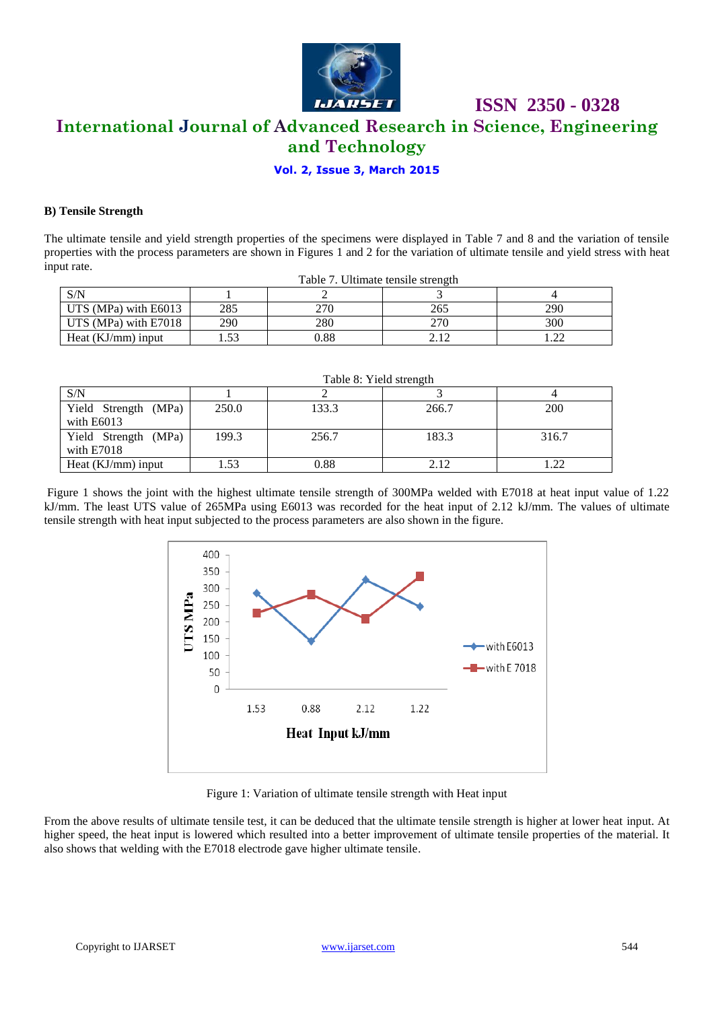

## **International Journal of Advanced Research in Science, Engineering and Technology**

 **ISSN 2350 - 0328**

#### **Vol. 2, Issue 3, March 2015**

#### **B) Tensile Strength**

The ultimate tensile and yield strength properties of the specimens were displayed in Table 7 and 8 and the variation of tensile properties with the process parameters are shown in Figures 1 and 2 for the variation of ultimate tensile and yield stress with heat input rate.

|                      |      | Table 7. Ultimate tensile strength |     |     |
|----------------------|------|------------------------------------|-----|-----|
| S/N                  |      |                                    |     |     |
| UTS (MPa) with E6013 | 285  | 270                                | 265 | 290 |
| UTS (MPa) with E7018 | 290  | 280                                | 270 | 300 |
| Heat $(KJ/mm)$ input | . 53 | ).88                               |     |     |

|                                      |       | Table 8: Yield strength |       |            |
|--------------------------------------|-------|-------------------------|-------|------------|
| S/N                                  |       |                         |       |            |
| Yield Strength (MPa)<br>with $E6013$ | 250.0 | 133.3                   | 266.7 | <b>200</b> |
| Yield Strength (MPa)<br>with E7018   | 199.3 | 256.7                   | 183.3 | 316.7      |
| Heat $(KJ/mm)$ input                 | 1.53  | 0.88                    | 2.12  |            |

Figure 1 shows the joint with the highest ultimate tensile strength of 300MPa welded with E7018 at heat input value of 1.22 kJ/mm. The least UTS value of 265MPa using E6013 was recorded for the heat input of 2.12 kJ/mm. The values of ultimate



Figure 1: Variation of ultimate tensile strength with Heat input

From the above results of ultimate tensile test, it can be deduced that the ultimate tensile strength is higher at lower heat input. At higher speed, the heat input is lowered which resulted into a better improvement of ultimate tensile properties of the material. It also shows that welding with the E7018 electrode gave higher ultimate tensile.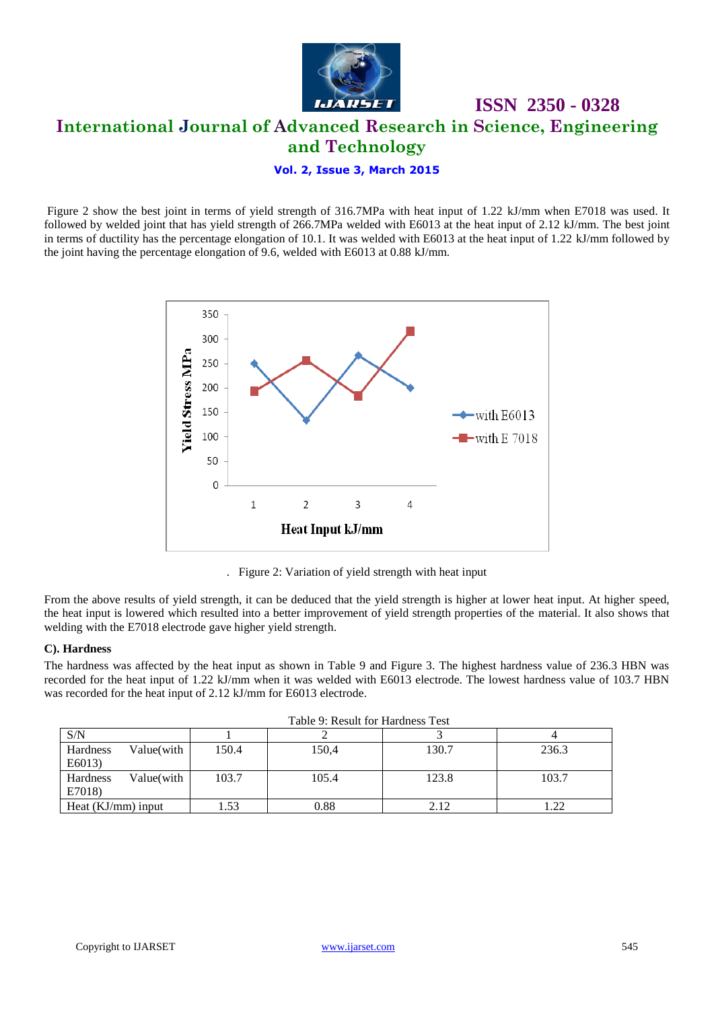

## **ISSN 2350 - 0328 International Journal of Advanced Research in Science, Engineering and Technology**

#### **Vol. 2, Issue 3, March 2015**

Figure 2 show the best joint in terms of yield strength of 316.7MPa with heat input of 1.22 kJ/mm when E7018 was used. It followed by welded joint that has yield strength of 266.7MPa welded with E6013 at the heat input of 2.12 kJ/mm. The best joint in terms of ductility has the percentage elongation of 10.1. It was welded with E6013 at the heat input of 1.22 kJ/mm followed by the joint having the percentage elongation of 9.6, welded with E6013 at 0.88 kJ/mm.



. Figure 2: Variation of yield strength with heat input

From the above results of yield strength, it can be deduced that the yield strength is higher at lower heat input. At higher speed, the heat input is lowered which resulted into a better improvement of yield strength properties of the material. It also shows that welding with the E7018 electrode gave higher yield strength.

#### **C). Hardness**

The hardness was affected by the heat input as shown in Table 9 and Figure 3. The highest hardness value of 236.3 HBN was recorded for the heat input of 1.22 kJ/mm when it was welded with E6013 electrode. The lowest hardness value of 103.7 HBN was recorded for the heat input of 2.12 kJ/mm for E6013 electrode.

|                      | Tuble 9. Republic Ibi Thurchies Test |       |       |       |              |
|----------------------|--------------------------------------|-------|-------|-------|--------------|
| S/N                  |                                      |       |       |       |              |
| Hardness             | Value(with                           | 150.4 | 150,4 | 130.7 | 236.3        |
| E6013)               |                                      |       |       |       |              |
| Hardness             | Value(with                           | 103.7 | 105.4 | 123.8 | 103.7        |
| E7018)               |                                      |       |       |       |              |
| Heat $(KJ/mm)$ input |                                      | 1.53  | 0.88  |       | ററ<br>. . 22 |

|  | Table 9: Result for Hardness Test |  |
|--|-----------------------------------|--|
|  |                                   |  |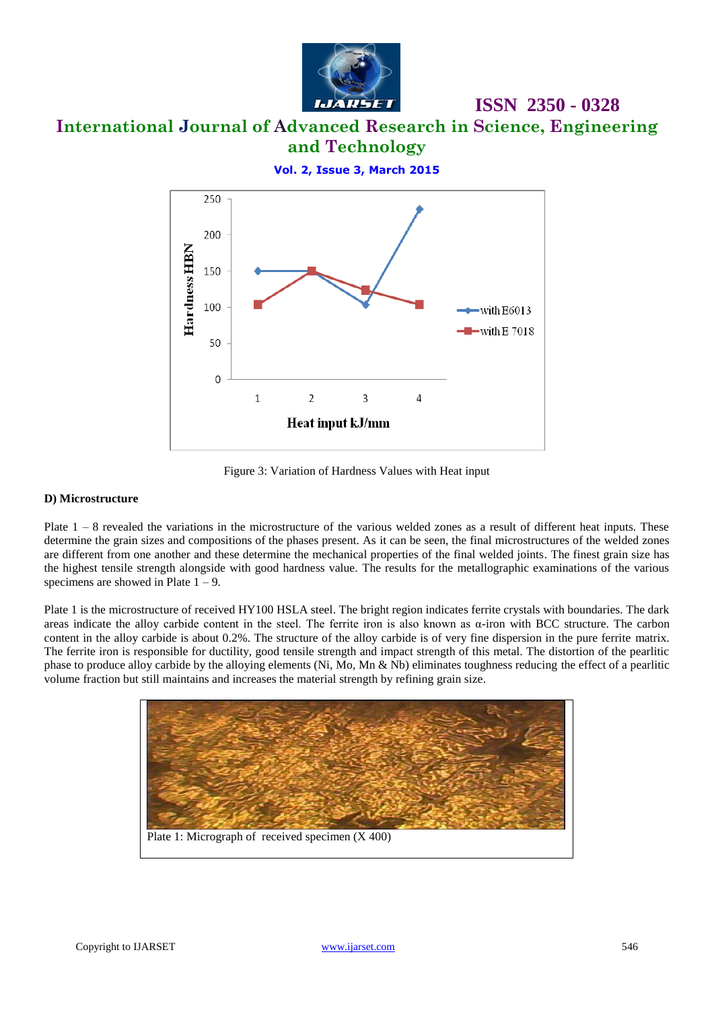

**International Journal of Advanced Research in Science, Engineering and Technology**

**Vol. 2, Issue 3, March 2015**



Figure 3: Variation of Hardness Values with Heat input

#### **D) Microstructure**

Plate  $1 - 8$  revealed the variations in the microstructure of the various welded zones as a result of different heat inputs. These determine the grain sizes and compositions of the phases present. As it can be seen, the final microstructures of the welded zones are different from one another and these determine the mechanical properties of the final welded joints. The finest grain size has the highest tensile strength alongside with good hardness value. The results for the metallographic examinations of the various specimens are showed in Plate  $1 - 9$ .

Plate 1 is the microstructure of received HY100 HSLA steel. The bright region indicates ferrite crystals with boundaries. The dark areas indicate the alloy carbide content in the steel. The ferrite iron is also known as  $α$ -iron with BCC structure. The carbon content in the alloy carbide is about 0.2%. The structure of the alloy carbide is of very fine dispersion in the pure ferrite matrix. The ferrite iron is responsible for ductility, good tensile strength and impact strength of this metal. The distortion of the pearlitic phase to produce alloy carbide by the alloying elements (Ni, Mo, Mn & Nb) eliminates toughness reducing the effect of a pearlitic volume fraction but still maintains and increases the material strength by refining grain size.

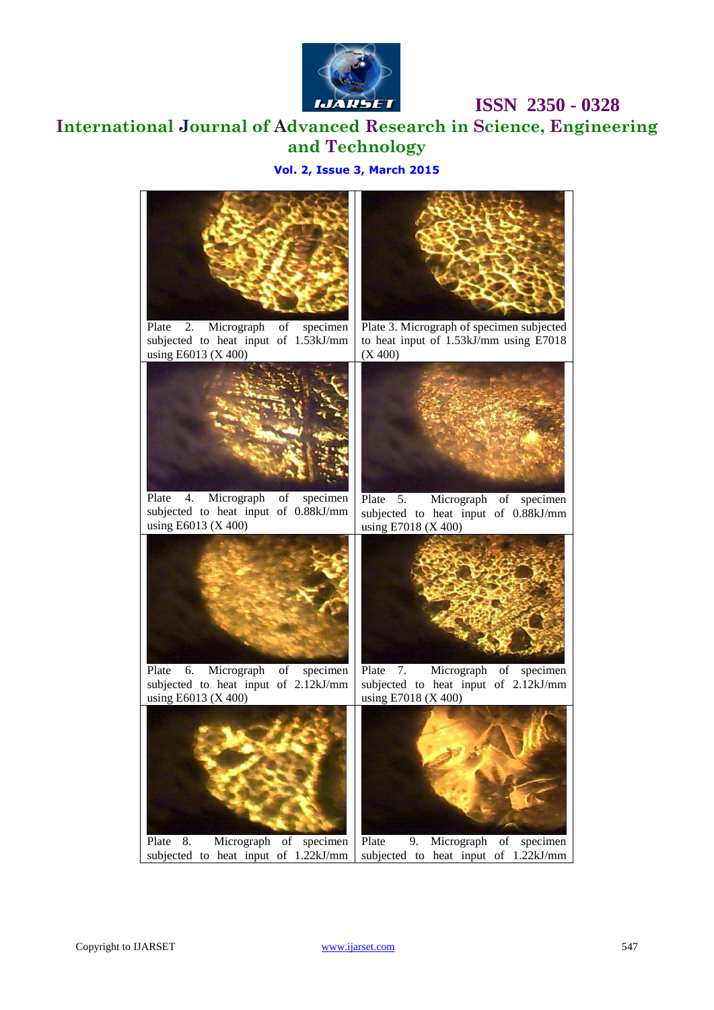

*<b>IBSR 2350 - 0328* 

**International Journal of Advanced Research in Science, Engineering and Technology**

#### **Vol. 2, Issue 3, March 2015**



Plate 2. Micrograph of specimen subjected to heat input of 1.53kJ/mm using E6013 (X 400)



Plate 4. Micrograph of specimen subjected to heat input of 0.88kJ/mm using E6013 (X 400)



Plate 3. Micrograph of specimen subjected to heat input of 1.53kJ/mm using E7018 (X 400)



Plate 5. Micrograph of specimen subjected to heat input of 0.88kJ/mm using E7018 (X 400)





Plate 6. Micrograph of specimen subjected to heat input of 2.12kJ/mm using E6013 (X 400)

Plate 7. Micrograph of specimen subjected to heat input of 2.12kJ/mm using E7018 (X 400)

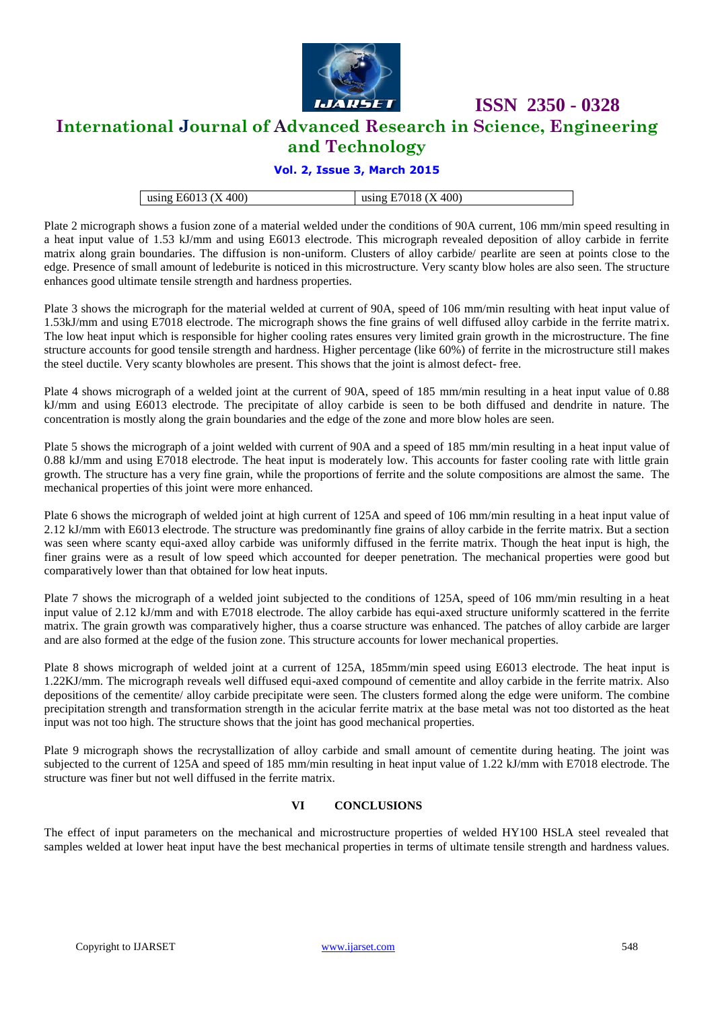

**International Journal of Advanced Research in Science, Engineering** 

### **and Technology**

#### **Vol. 2, Issue 3, March 2015**

| using E6013 $(X 400)$ | using E7018 $(X 400)$ |
|-----------------------|-----------------------|

Plate 2 micrograph shows a fusion zone of a material welded under the conditions of 90A current, 106 mm/min speed resulting in a heat input value of 1.53 kJ/mm and using E6013 electrode. This micrograph revealed deposition of alloy carbide in ferrite matrix along grain boundaries. The diffusion is non-uniform. Clusters of alloy carbide/ pearlite are seen at points close to the edge. Presence of small amount of ledeburite is noticed in this microstructure. Very scanty blow holes are also seen. The structure enhances good ultimate tensile strength and hardness properties.

Plate 3 shows the micrograph for the material welded at current of 90A, speed of 106 mm/min resulting with heat input value of 1.53kJ/mm and using E7018 electrode. The micrograph shows the fine grains of well diffused alloy carbide in the ferrite matrix. The low heat input which is responsible for higher cooling rates ensures very limited grain growth in the microstructure. The fine structure accounts for good tensile strength and hardness. Higher percentage (like 60%) of ferrite in the microstructure still makes the steel ductile. Very scanty blowholes are present. This shows that the joint is almost defect- free.

Plate 4 shows micrograph of a welded joint at the current of 90A, speed of 185 mm/min resulting in a heat input value of 0.88 kJ/mm and using E6013 electrode. The precipitate of alloy carbide is seen to be both diffused and dendrite in nature. The concentration is mostly along the grain boundaries and the edge of the zone and more blow holes are seen.

Plate 5 shows the micrograph of a joint welded with current of 90A and a speed of 185 mm/min resulting in a heat input value of 0.88 kJ/mm and using E7018 electrode. The heat input is moderately low. This accounts for faster cooling rate with little grain growth. The structure has a very fine grain, while the proportions of ferrite and the solute compositions are almost the same. The mechanical properties of this joint were more enhanced.

Plate 6 shows the micrograph of welded joint at high current of 125A and speed of 106 mm/min resulting in a heat input value of 2.12 kJ/mm with E6013 electrode. The structure was predominantly fine grains of alloy carbide in the ferrite matrix. But a section was seen where scanty equi-axed alloy carbide was uniformly diffused in the ferrite matrix. Though the heat input is high, the finer grains were as a result of low speed which accounted for deeper penetration. The mechanical properties were good but comparatively lower than that obtained for low heat inputs.

Plate 7 shows the micrograph of a welded joint subjected to the conditions of 125A, speed of 106 mm/min resulting in a heat input value of 2.12 kJ/mm and with E7018 electrode. The alloy carbide has equi-axed structure uniformly scattered in the ferrite matrix. The grain growth was comparatively higher, thus a coarse structure was enhanced. The patches of alloy carbide are larger and are also formed at the edge of the fusion zone. This structure accounts for lower mechanical properties.

Plate 8 shows micrograph of welded joint at a current of 125A, 185mm/min speed using E6013 electrode. The heat input is 1.22KJ/mm. The micrograph reveals well diffused equi-axed compound of cementite and alloy carbide in the ferrite matrix. Also depositions of the cementite/ alloy carbide precipitate were seen. The clusters formed along the edge were uniform. The combine precipitation strength and transformation strength in the acicular ferrite matrix at the base metal was not too distorted as the heat input was not too high. The structure shows that the joint has good mechanical properties.

Plate 9 micrograph shows the recrystallization of alloy carbide and small amount of cementite during heating. The joint was subjected to the current of 125A and speed of 185 mm/min resulting in heat input value of 1.22 kJ/mm with E7018 electrode. The structure was finer but not well diffused in the ferrite matrix.

#### **VI CONCLUSIONS**

The effect of input parameters on the mechanical and microstructure properties of welded HY100 HSLA steel revealed that samples welded at lower heat input have the best mechanical properties in terms of ultimate tensile strength and hardness values.